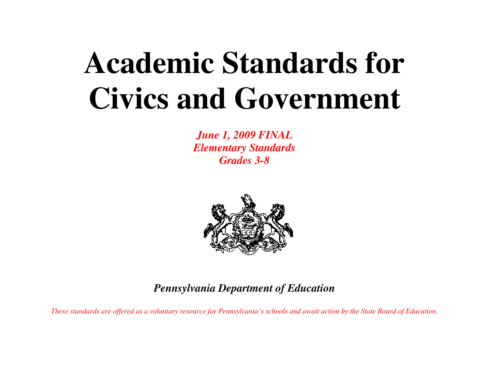# **Academic Standards for Civics and Government**

*June 1, 2009 FINAL Elementary Standards Grades 3-8* 



*Pennsylvania Department of Education* 

*These standards are offered as a voluntary resource for Pennsylvania's schools and await action by the State Board of Education.*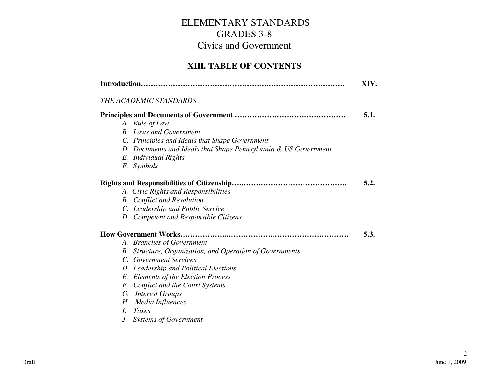#### **XIII. TABLE OF CONTENTS**

|    | Introduction                                                    | XIV. |
|----|-----------------------------------------------------------------|------|
|    | THE ACADEMIC STANDARDS                                          |      |
|    |                                                                 | 5.1. |
|    | A. Rule of Law                                                  |      |
|    | <b>B.</b> Laws and Government                                   |      |
|    | C. Principles and Ideals that Shape Government                  |      |
|    | D. Documents and Ideals that Shape Pennsylvania & US Government |      |
|    | E. Individual Rights                                            |      |
|    | F. Symbols                                                      |      |
|    |                                                                 | 5.2. |
|    | A. Civic Rights and Responsibilities                            |      |
|    | <b>B.</b> Conflict and Resolution                               |      |
|    | C. Leadership and Public Service                                |      |
|    | D. Competent and Responsible Citizens                           |      |
|    |                                                                 | 5.3. |
|    | A. Branches of Government                                       |      |
|    | B. Structure, Organization, and Operation of Governments        |      |
|    | C. Government Services                                          |      |
|    | D. Leadership and Political Elections                           |      |
|    | E. Elements of the Election Process                             |      |
| F. | <b>Conflict and the Court Systems</b>                           |      |
|    | G. Interest Groups                                              |      |
| Н. | Media Influences                                                |      |
| L  | Taxes                                                           |      |
| J. | <b>Systems of Government</b>                                    |      |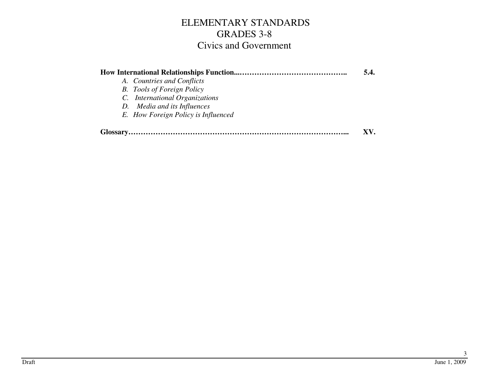|                                     | 5.4. |
|-------------------------------------|------|
| A. Countries and Conflicts          |      |
| <b>B.</b> Tools of Foreign Policy   |      |
| C. International Organizations      |      |
| D. Media and its Influences         |      |
| E. How Foreign Policy is Influenced |      |
|                                     |      |
|                                     |      |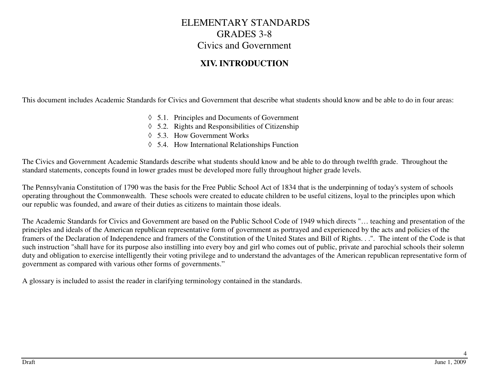#### **XIV. INTRODUCTION**

This document includes Academic Standards for Civics and Government that describe what students should know and be able to do in four areas:

- ◊ 5.1. Principles and Documents of Government
- ◊ 5.2. Rights and Responsibilities of Citizenship
- ◊ 5.3. How Government Works
- ◊ 5.4. How International Relationships Function

The Civics and Government Academic Standards describe what students should know and be able to do through twelfth grade. Throughout the standard statements, concepts found in lower grades must be developed more fully throughout higher grade levels.

The Pennsylvania Constitution of 1790 was the basis for the Free Public School Act of 1834 that is the underpinning of today's system of schools operating throughout the Commonwealth. These schools were created to educate children to be useful citizens, loyal to the principles upon which our republic was founded, and aware of their duties as citizens to maintain those ideals.

The Academic Standards for Civics and Government are based on the Public School Code of 1949 which directs "… teaching and presentation of the principles and ideals of the American republican representative form of government as portrayed and experienced by the acts and policies of the framers of the Declaration of Independence and framers of the Constitution of the United States and Bill of Rights. . .". The intent of the Code is that such instruction "shall have for its purpose also instilling into every boy and girl who comes out of public, private and parochial schools their solemn duty and obligation to exercise intelligently their voting privilege and to understand the advantages of the American republican representative form of government as compared with various other forms of governments."

A glossary is included to assist the reader in clarifying terminology contained in the standards.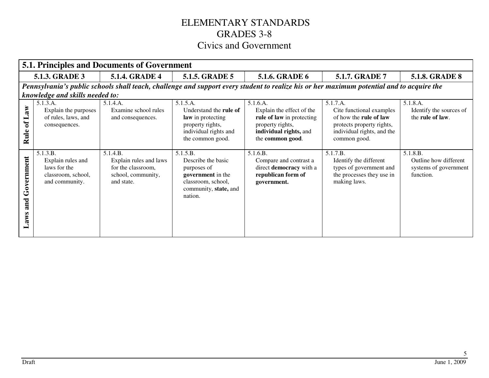|                                 | <b>5.1. Principles and Documents of Government</b>                                    |                                                                                              |                                                                                                                                 |                                                                                                                                      |                                                                                                                                           |                                                                         |  |  |
|---------------------------------|---------------------------------------------------------------------------------------|----------------------------------------------------------------------------------------------|---------------------------------------------------------------------------------------------------------------------------------|--------------------------------------------------------------------------------------------------------------------------------------|-------------------------------------------------------------------------------------------------------------------------------------------|-------------------------------------------------------------------------|--|--|
|                                 | <b>5.1.3. GRADE 3</b>                                                                 | <b>5.1.4. GRADE 4</b>                                                                        | <b>5.1.5. GRADE 5</b>                                                                                                           | <b>5.1.6. GRADE 6</b>                                                                                                                | 5.1.7. GRADE 7                                                                                                                            | <b>5.1.8. GRADE 8</b>                                                   |  |  |
|                                 |                                                                                       |                                                                                              |                                                                                                                                 |                                                                                                                                      | Pennsylvania's public schools shall teach, challenge and support every student to realize his or her maximum potential and to acquire the |                                                                         |  |  |
|                                 | knowledge and skills needed to:                                                       |                                                                                              |                                                                                                                                 |                                                                                                                                      |                                                                                                                                           |                                                                         |  |  |
| Law<br>$\mathbf{d}$<br>Rule     | 5.1.3.A.<br>Explain the purposes<br>of rules, laws, and<br>consequences.              | 5.1.4.A.<br>Examine school rules<br>and consequences.                                        | 5.1.5.A.<br>Understand the <b>rule of</b><br>law in protecting<br>property rights,<br>individual rights and<br>the common good. | 5.1.6.A.<br>Explain the effect of the<br>rule of law in protecting<br>property rights,<br>individual rights, and<br>the common good. | 5.1.7.A.<br>Cite functional examples<br>of how the rule of law<br>protects property rights,<br>individual rights, and the<br>common good. | 5.1.8.A.<br>Identify the sources of<br>the rule of law.                 |  |  |
| Government<br>and<br><b>SMB</b> | 5.1.3.B.<br>Explain rules and<br>laws for the<br>classroom, school,<br>and community. | 5.1.4.B.<br>Explain rules and laws<br>for the classroom,<br>school, community,<br>and state. | 5.1.5.B.<br>Describe the basic<br>purposes of<br>government in the<br>classroom, school,<br>community, state, and<br>nation.    | 5.1.6.B.<br>Compare and contrast a<br>direct democracy with a<br>republican form of<br>government.                                   | 5.1.7.B.<br>Identify the different<br>types of government and<br>the processes they use in<br>making laws.                                | 5.1.8.B.<br>Outline how different<br>systems of government<br>function. |  |  |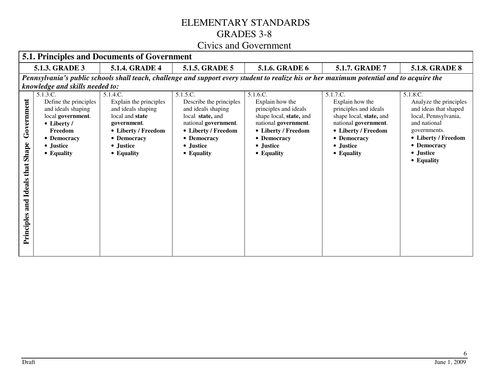|                                                            | <b>5.1. Principles and Documents of Government</b>                                                                                                                           |                                                                                                                                                             |                                                                                                                                                                        |                                                                                                                                                                          |                                                                                                                                                                          |                                                                                                                                                                                      |  |
|------------------------------------------------------------|------------------------------------------------------------------------------------------------------------------------------------------------------------------------------|-------------------------------------------------------------------------------------------------------------------------------------------------------------|------------------------------------------------------------------------------------------------------------------------------------------------------------------------|--------------------------------------------------------------------------------------------------------------------------------------------------------------------------|--------------------------------------------------------------------------------------------------------------------------------------------------------------------------|--------------------------------------------------------------------------------------------------------------------------------------------------------------------------------------|--|
|                                                            | 5.1.5. GRADE 5<br><b>5.1.8. GRADE 8</b><br>5.1.3. GRADE 3<br><b>5.1.4. GRADE 4</b><br>5.1.6. GRADE 6<br>5.1.7. GRADE 7                                                       |                                                                                                                                                             |                                                                                                                                                                        |                                                                                                                                                                          |                                                                                                                                                                          |                                                                                                                                                                                      |  |
|                                                            | Pennsylvania's public schools shall teach, challenge and support every student to realize his or her maximum potential and to acquire the<br>knowledge and skills needed to: |                                                                                                                                                             |                                                                                                                                                                        |                                                                                                                                                                          |                                                                                                                                                                          |                                                                                                                                                                                      |  |
| Government<br>Shape<br>that<br>Ideals<br>and<br>Principles | 5.1.3.C.<br>Define the principles<br>and ideals shaping<br>local government.<br>$\bullet$ Liberty /<br>Freedom<br>• Democracy<br>• Justice<br>• Equality                     | 5.1.4.C.<br>Explain the principles<br>and ideals shaping<br>local and state<br>government.<br>• Liberty / Freedom<br>• Democracy<br>• Justice<br>• Equality | 5.1.5.C.<br>Describe the principles<br>and ideals shaping<br>local state, and<br>national government.<br>• Liberty / Freedom<br>• Democracy<br>• Justice<br>• Equality | 5.1.6.C.<br>Explain how the<br>principles and ideals<br>shape local, state, and<br>national government.<br>• Liberty / Freedom<br>• Democracy<br>• Justice<br>• Equality | 5.1.7.C.<br>Explain how the<br>principles and ideals<br>shape local, state, and<br>national government.<br>• Liberty / Freedom<br>• Democracy<br>• Justice<br>• Equality | 5.1.8.C.<br>Analyze the principles<br>and ideas that shaped<br>local, Pennsylvania,<br>and national<br>governments.<br>• Liberty / Freedom<br>• Democracy<br>• Justice<br>• Equality |  |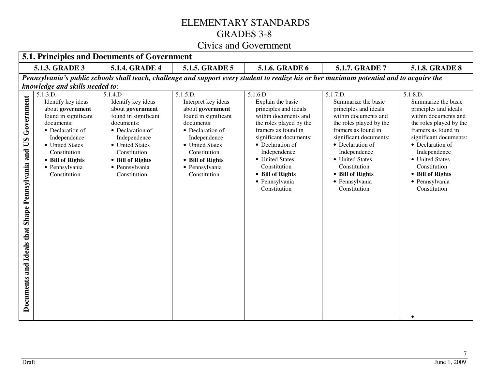|                                                                   | <b>5.1. Principles and Documents of Government</b>                                                                                                                                                                    |                                                                                                                                                                                                                       |                                                                                                                                                                                                                        |                                                                                                                                                                                                                                                                                         |                                                                                                                                                                                                                                                                                           |                                                                                                                                                                                                                                                                                           |  |  |  |
|-------------------------------------------------------------------|-----------------------------------------------------------------------------------------------------------------------------------------------------------------------------------------------------------------------|-----------------------------------------------------------------------------------------------------------------------------------------------------------------------------------------------------------------------|------------------------------------------------------------------------------------------------------------------------------------------------------------------------------------------------------------------------|-----------------------------------------------------------------------------------------------------------------------------------------------------------------------------------------------------------------------------------------------------------------------------------------|-------------------------------------------------------------------------------------------------------------------------------------------------------------------------------------------------------------------------------------------------------------------------------------------|-------------------------------------------------------------------------------------------------------------------------------------------------------------------------------------------------------------------------------------------------------------------------------------------|--|--|--|
|                                                                   | 5.1.3. GRADE 3<br><b>5.1.4. GRADE 4</b><br>5.1.5. GRADE 5<br>5.1.6. GRADE 6<br>5.1.7. GRADE 7<br><b>5.1.8. GRADE 8</b>                                                                                                |                                                                                                                                                                                                                       |                                                                                                                                                                                                                        |                                                                                                                                                                                                                                                                                         |                                                                                                                                                                                                                                                                                           |                                                                                                                                                                                                                                                                                           |  |  |  |
|                                                                   | Pennsylvania's public schools shall teach, challenge and support every student to realize his or her maximum potential and to acquire the                                                                             |                                                                                                                                                                                                                       |                                                                                                                                                                                                                        |                                                                                                                                                                                                                                                                                         |                                                                                                                                                                                                                                                                                           |                                                                                                                                                                                                                                                                                           |  |  |  |
|                                                                   | knowledge and skills needed to:                                                                                                                                                                                       |                                                                                                                                                                                                                       |                                                                                                                                                                                                                        |                                                                                                                                                                                                                                                                                         |                                                                                                                                                                                                                                                                                           |                                                                                                                                                                                                                                                                                           |  |  |  |
| Government<br>Documents and Ideals that Shape Pennsylvania and US | 5.1.3.D.<br>Identify key ideas<br>about government<br>found in significant<br>documents:<br>• Declaration of<br>Independence<br>• United States<br>Constitution<br>• Bill of Rights<br>· Pennsylvania<br>Constitution | 5.1.4.D<br>Identify key ideas<br>about government<br>found in significant<br>documents:<br>• Declaration of<br>Independence<br>• United States<br>Constitution<br>• Bill of Rights<br>· Pennsylvania<br>Constitution. | 5.1.5.D.<br>Interpret key ideas<br>about government<br>found in significant<br>documents:<br>• Declaration of<br>Independence<br>• United States<br>Constitution<br>• Bill of Rights<br>· Pennsylvania<br>Constitution | 5.1.6.D.<br>Explain the basic<br>principles and ideals<br>within documents and<br>the roles played by the<br>framers as found in<br>significant documents:<br>• Declaration of<br>Independence<br>• United States<br>Constitution<br>• Bill of Rights<br>· Pennsylvania<br>Constitution | 5.1.7.D.<br>Summarize the basic<br>principles and ideals<br>within documents and<br>the roles played by the<br>framers as found in<br>significant documents:<br>• Declaration of<br>Independence<br>• United States<br>Constitution<br>• Bill of Rights<br>· Pennsylvania<br>Constitution | 5.1.8.D.<br>Summarize the basic<br>principles and ideals<br>within documents and<br>the roles played by the<br>framers as found in<br>significant documents:<br>• Declaration of<br>Independence<br>• United States<br>Constitution<br>• Bill of Rights<br>· Pennsylvania<br>Constitution |  |  |  |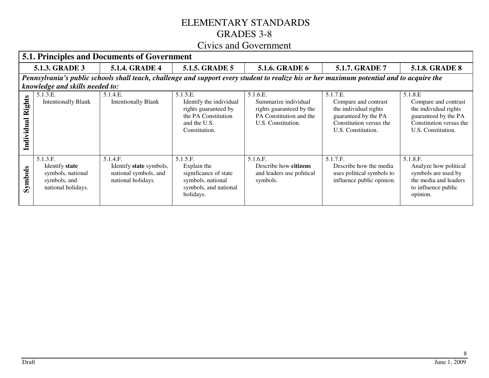|                      | <b>5.1. Principles and Documents of Government</b>                                    |                                                                                    |                                                                                                                     |                                                                                                                                           |                                                                                                                                    |                                                                                                                                   |  |  |  |
|----------------------|---------------------------------------------------------------------------------------|------------------------------------------------------------------------------------|---------------------------------------------------------------------------------------------------------------------|-------------------------------------------------------------------------------------------------------------------------------------------|------------------------------------------------------------------------------------------------------------------------------------|-----------------------------------------------------------------------------------------------------------------------------------|--|--|--|
|                      | <b>5.1.3. GRADE 3</b>                                                                 | <b>5.1.4. GRADE 4</b>                                                              | <b>5.1.5. GRADE 5</b>                                                                                               | 5.1.6. GRADE 6                                                                                                                            | 5.1.7. GRADE 7                                                                                                                     | <b>5.1.8. GRADE 8</b>                                                                                                             |  |  |  |
|                      | knowledge and skills needed to:                                                       |                                                                                    |                                                                                                                     | Pennsylvania's public schools shall teach, challenge and support every student to realize his or her maximum potential and to acquire the |                                                                                                                                    |                                                                                                                                   |  |  |  |
| Rights<br>Individual | 5.1.3.E.<br><b>Intentionally Blank</b>                                                | 5.1.4.E.<br><b>Intentionally Blank</b>                                             | 5.1.5.E.<br>Identify the individual<br>rights guaranteed by<br>the PA Constitution<br>and the U.S.<br>Constitution. | 5.1.6.E.<br>Summarize individual<br>rights guaranteed by the<br>PA Constitution and the<br>U.S. Constitution.                             | 5.1.7.E.<br>Compare and contrast<br>the individual rights<br>guaranteed by the PA<br>Constitution versus the<br>U.S. Constitution. | 5.1.8.E<br>Compare and contrast<br>the individual rights<br>guaranteed by the PA<br>Constitution versus the<br>U.S. Constitution. |  |  |  |
| Symbols              | 5.1.3.F.<br>Identify state<br>symbols, national<br>symbols, and<br>national holidays. | 5.1.4.F.<br>Identify state symbols,<br>national symbols, and<br>national holidays. | 5.1.5.F.<br>Explain the<br>significance of state<br>symbols, national<br>symbols, and national<br>holidays.         | 5.1.6.F.<br>Describe how citizens<br>and leaders use political<br>symbols.                                                                | 5.1.7.F.<br>Describe how the media<br>uses political symbols to<br>influence public opinion.                                       | 5.1.8.F.<br>Analyze how political<br>symbols are used by<br>the media and leaders<br>to influence public<br>opinion.              |  |  |  |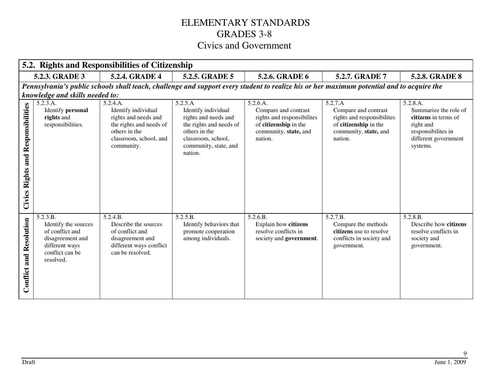|                                                 | 5.2. Rights and Responsibilities of Citizenship                                                                           |                                                                                                                                             |                                                                                                                                                              |                                                                                                                             |                                                                                                                                           |                                                                                                                                  |  |  |
|-------------------------------------------------|---------------------------------------------------------------------------------------------------------------------------|---------------------------------------------------------------------------------------------------------------------------------------------|--------------------------------------------------------------------------------------------------------------------------------------------------------------|-----------------------------------------------------------------------------------------------------------------------------|-------------------------------------------------------------------------------------------------------------------------------------------|----------------------------------------------------------------------------------------------------------------------------------|--|--|
|                                                 | 5.2.3. GRADE 3                                                                                                            | 5.2.4. GRADE 4                                                                                                                              | 5.2.5. GRADE 5                                                                                                                                               | 5.2.6. GRADE 6                                                                                                              | 5.2.7. GRADE 7                                                                                                                            | <b>5.2.8. GRADE 8</b>                                                                                                            |  |  |
|                                                 |                                                                                                                           |                                                                                                                                             |                                                                                                                                                              |                                                                                                                             | Pennsylvania's public schools shall teach, challenge and support every student to realize his or her maximum potential and to acquire the |                                                                                                                                  |  |  |
|                                                 | knowledge and skills needed to:                                                                                           |                                                                                                                                             |                                                                                                                                                              |                                                                                                                             |                                                                                                                                           |                                                                                                                                  |  |  |
| Responsibilities<br>and<br><b>Civics Rights</b> | 5.2.3.A.<br>Identify personal<br>rights and<br>responsibilities.                                                          | 5.2.4.A.<br>Identify individual<br>rights and needs and<br>the rights and needs of<br>others in the<br>classroom, school, and<br>community. | 5.2.5.A<br>Identify individual<br>rights and needs and<br>the rights and needs of<br>others in the<br>classroom, school,<br>community, state, and<br>nation. | 5.2.6.A.<br>Compare and contrast<br>rights and responsibilites<br>of citizenship in the<br>community, state, and<br>nation. | 5.2.7.A<br>Compare and contrast<br>rights and responsibilites<br>of citizenship in the<br>community, state, and<br>nation.                | 5.2.8.A.<br>Summarize the role of<br>citizens in terms of<br>right and<br>responsibilites in<br>different government<br>systems. |  |  |
| <b>Conflict and Resolution</b>                  | 5.2.3.B.<br>Identify the sources<br>of conflict and<br>disagreement and<br>different ways<br>conflict can be<br>resolved. | 5.2.4.B.<br>Describe the sources<br>of conflict and<br>disagreement and<br>different ways conflict<br>can be resolved.                      | 5.2.5.B.<br>Identify behaviors that<br>promote cooperation<br>among individuals.                                                                             | 5.2.6.B.<br>Explain how citizens<br>resolve conflicts in<br>society and government.                                         | 5.2.7.B.<br>Compare the methods<br>citizens use to resolve<br>conflicts in society and<br>government.                                     | 5.2.8.B.<br>Describe how citizens<br>resolve conflicts in<br>society and<br>government.                                          |  |  |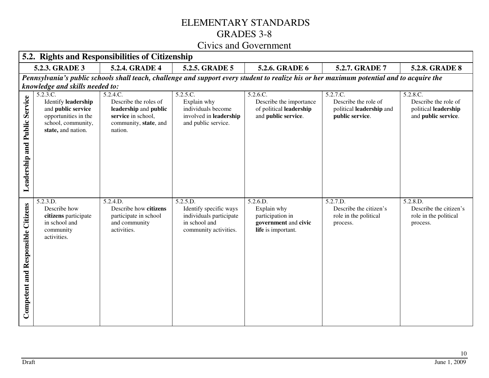|                                             | 5.2. Rights and Responsibilities of Citizenship                                                                           |                                                                                                                      |                                                                                                         |                                                                                           |                                                                                                                                           |                                                                                 |  |  |
|---------------------------------------------|---------------------------------------------------------------------------------------------------------------------------|----------------------------------------------------------------------------------------------------------------------|---------------------------------------------------------------------------------------------------------|-------------------------------------------------------------------------------------------|-------------------------------------------------------------------------------------------------------------------------------------------|---------------------------------------------------------------------------------|--|--|
|                                             | 5.2.3. GRADE 3                                                                                                            | 5.2.4. GRADE 4                                                                                                       | 5.2.5. GRADE 5                                                                                          | 5.2.6. GRADE 6                                                                            | 5.2.7. GRADE 7                                                                                                                            | <b>5.2.8. GRADE 8</b>                                                           |  |  |
|                                             | knowledge and skills needed to:                                                                                           |                                                                                                                      |                                                                                                         |                                                                                           | Pennsylvania's public schools shall teach, challenge and support every student to realize his or her maximum potential and to acquire the |                                                                                 |  |  |
| Service<br><b>Leadership and Public</b>     | 5.2.3.C.<br>Identify leadership<br>and public service<br>opportunities in the<br>school, community,<br>state, and nation. | 5.2.4.C.<br>Describe the roles of<br>leadership and public<br>service in school,<br>community, state, and<br>nation. | 5.2.5.C.<br>Explain why<br>individuals become<br>involved in leadership<br>and public service.          | 5.2.6.C.<br>Describe the importance<br>of political leadership<br>and public service.     | 5.2.7.C.<br>Describe the role of<br>political leadership and<br>public service.                                                           | 5.2.8.C.<br>Describe the role of<br>political leadership<br>and public service. |  |  |
| Citizens<br>Responsible<br>and<br>Competent | 5.2.3.D.<br>Describe how<br>citizens participate<br>in school and<br>community<br>activities.                             | 5.2.4.D.<br>Describe how citizens<br>participate in school<br>and community<br>activities.                           | 5.2.5.D.<br>Identify specific ways<br>individuals participate<br>in school and<br>community activities. | 5.2.6.D.<br>Explain why<br>participation in<br>government and civic<br>life is important. | 5.2.7.D.<br>Describe the citizen's<br>role in the political<br>process.                                                                   | 5.2.8.D.<br>Describe the citizen's<br>role in the political<br>process.         |  |  |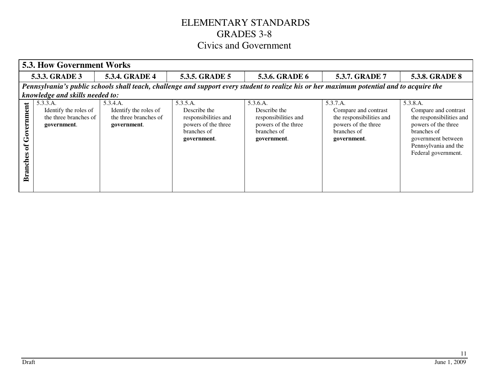|                                    | <b>5.3. How Government Works</b>                                                                                                          |                                                                           |                                                                                                       |                                                                                                       |                                                                                                                   |                                                                                                                                                                         |  |  |  |
|------------------------------------|-------------------------------------------------------------------------------------------------------------------------------------------|---------------------------------------------------------------------------|-------------------------------------------------------------------------------------------------------|-------------------------------------------------------------------------------------------------------|-------------------------------------------------------------------------------------------------------------------|-------------------------------------------------------------------------------------------------------------------------------------------------------------------------|--|--|--|
|                                    | <b>5.3.4. GRADE 4</b><br>5.3.5. GRADE 5<br><b>5.3.8. GRADE 8</b><br>5.3.6. GRADE 6<br>5.3.7. GRADE 7<br>5.3.3. GRADE 3                    |                                                                           |                                                                                                       |                                                                                                       |                                                                                                                   |                                                                                                                                                                         |  |  |  |
|                                    | Pennsylvania's public schools shall teach, challenge and support every student to realize his or her maximum potential and to acquire the |                                                                           |                                                                                                       |                                                                                                       |                                                                                                                   |                                                                                                                                                                         |  |  |  |
|                                    | knowledge and skills needed to:                                                                                                           |                                                                           |                                                                                                       |                                                                                                       |                                                                                                                   |                                                                                                                                                                         |  |  |  |
| overnment<br>ัธ<br><b>Branches</b> | 5.3.3.A.<br>Identify the roles of<br>the three branches of<br>government.                                                                 | 5.3.4.A.<br>Identify the roles of<br>the three branches of<br>government. | 5.3.5.A.<br>Describe the<br>responsibilities and<br>powers of the three<br>branches of<br>government. | 5.3.6.A.<br>Describe the<br>responsibilities and<br>powers of the three<br>branches of<br>government. | 5.3.7.A.<br>Compare and contrast<br>the responsibilities and<br>powers of the three<br>branches of<br>government. | 5.3.8.A.<br>Compare and contrast<br>the responsibilities and<br>powers of the three<br>branches of<br>government between<br>Pennsylvania and the<br>Federal government. |  |  |  |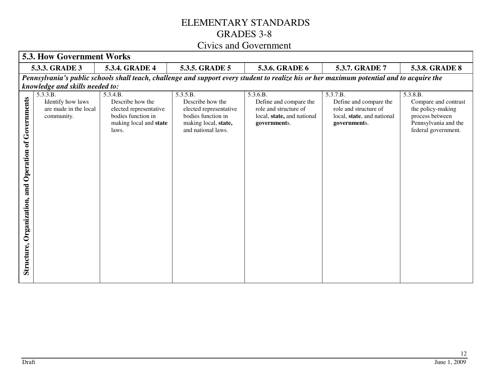|                                                                   | <b>5.3. How Government Works</b>                                                                                                          |                                                                                                                 |                                                                                                                            |                                                                                                           |                                                                                                           |                                                                                                                         |  |  |
|-------------------------------------------------------------------|-------------------------------------------------------------------------------------------------------------------------------------------|-----------------------------------------------------------------------------------------------------------------|----------------------------------------------------------------------------------------------------------------------------|-----------------------------------------------------------------------------------------------------------|-----------------------------------------------------------------------------------------------------------|-------------------------------------------------------------------------------------------------------------------------|--|--|
|                                                                   | 5.3.3. GRADE 3                                                                                                                            | <b>5.3.4. GRADE 4</b>                                                                                           | 5.3.5. GRADE 5                                                                                                             | 5.3.6. GRADE 6                                                                                            | 5.3.7. GRADE 7                                                                                            | <b>5.3.8. GRADE 8</b>                                                                                                   |  |  |
|                                                                   | Pennsylvania's public schools shall teach, challenge and support every student to realize his or her maximum potential and to acquire the |                                                                                                                 |                                                                                                                            |                                                                                                           |                                                                                                           |                                                                                                                         |  |  |
|                                                                   | knowledge and skills needed to:                                                                                                           |                                                                                                                 |                                                                                                                            |                                                                                                           |                                                                                                           |                                                                                                                         |  |  |
| of Governments<br>Operation<br>and<br>Organization,<br>Structure, | $5.3.3.\overline{B}$ .<br>Identify how laws<br>are made in the local<br>community.                                                        | 5.3.4.B.<br>Describe how the<br>elected representative<br>bodies function in<br>making local and state<br>laws. | 5.3.5.B.<br>Describe how the<br>elected representative<br>bodies function in<br>making local, state,<br>and national laws. | 5.3.6.B.<br>Define and compare the<br>role and structure of<br>local, state, and national<br>governments. | 5.3.7.B.<br>Define and compare the<br>role and structure of<br>local, state, and national<br>governments. | 5.3.8.B.<br>Compare and contrast<br>the policy-making<br>process between<br>Pennsylvania and the<br>federal government. |  |  |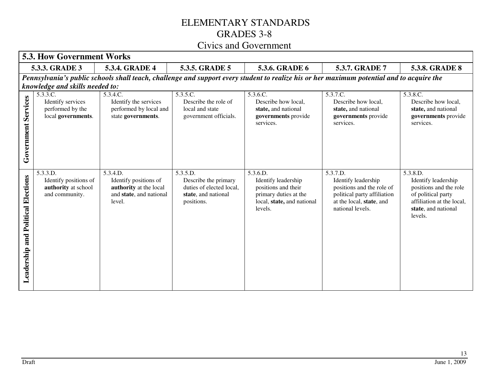|                                              | <b>5.3. How Government Works</b>                                                                                                          |                                                                                                  |                                                                                                   |                                                                                                                          |                                                                                                                                             |                                                                                                                                                |  |  |  |
|----------------------------------------------|-------------------------------------------------------------------------------------------------------------------------------------------|--------------------------------------------------------------------------------------------------|---------------------------------------------------------------------------------------------------|--------------------------------------------------------------------------------------------------------------------------|---------------------------------------------------------------------------------------------------------------------------------------------|------------------------------------------------------------------------------------------------------------------------------------------------|--|--|--|
|                                              | 5.3.3. GRADE 3<br>5.3.4. GRADE 4<br>5.3.5. GRADE 5<br>5.3.6. GRADE 6<br>5.3.7. GRADE 7<br><b>5.3.8. GRADE 8</b>                           |                                                                                                  |                                                                                                   |                                                                                                                          |                                                                                                                                             |                                                                                                                                                |  |  |  |
|                                              | Pennsylvania's public schools shall teach, challenge and support every student to realize his or her maximum potential and to acquire the |                                                                                                  |                                                                                                   |                                                                                                                          |                                                                                                                                             |                                                                                                                                                |  |  |  |
|                                              | knowledge and skills needed to:                                                                                                           |                                                                                                  |                                                                                                   |                                                                                                                          |                                                                                                                                             |                                                                                                                                                |  |  |  |
| <b>Government Services</b>                   | 5.3.3.C.<br>Identify services<br>performed by the<br>local governments.                                                                   | 5.3.4.C.<br>Identify the services<br>performed by local and<br>state governments.                | 5.3.5.C.<br>Describe the role of<br>local and state<br>government officials.                      | 5.3.6.C.<br>Describe how local,<br>state, and national<br>governments provide<br>services.                               | 5.3.7.C.<br>Describe how local,<br>state, and national<br>governments provide<br>services.                                                  | 5.3.8.C.<br>Describe how local,<br>state, and national<br>governments provide<br>services.                                                     |  |  |  |
| <b>Political Elections</b><br>Leadership and | 5.3.3.D.<br>Identify positions of<br>authority at school<br>and community.                                                                | 5.3.4.D.<br>Identify positions of<br>authority at the local<br>and state, and national<br>level. | 5.3.5.D.<br>Describe the primary<br>duties of elected local,<br>state, and national<br>positions. | 5.3.6.D.<br>Identify leadership<br>positions and their<br>primary duties at the<br>local, state, and national<br>levels. | 5.3.7.D.<br>Identify leadership<br>positions and the role of<br>political party affiliation<br>at the local, state, and<br>national levels. | 5.3.8.D.<br>Identify leadership<br>positions and the role<br>of political party<br>affiliation at the local,<br>state, and national<br>levels. |  |  |  |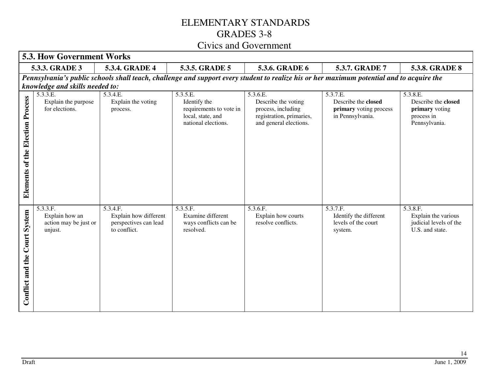|                                     | <b>5.3. How Government Works</b>                                                                                                          |                                                                            |                                                                                                 |                                                                                                             |                                                                               |                                                                                  |  |  |  |  |
|-------------------------------------|-------------------------------------------------------------------------------------------------------------------------------------------|----------------------------------------------------------------------------|-------------------------------------------------------------------------------------------------|-------------------------------------------------------------------------------------------------------------|-------------------------------------------------------------------------------|----------------------------------------------------------------------------------|--|--|--|--|
|                                     | 5.3.3. GRADE 3<br>5.3.4. GRADE 4<br>5.3.5. GRADE 5<br>5.3.6. GRADE 6<br><b>5.3.8. GRADE 8</b><br><b>5.3.7. GRADE 7</b>                    |                                                                            |                                                                                                 |                                                                                                             |                                                                               |                                                                                  |  |  |  |  |
|                                     | Pennsylvania's public schools shall teach, challenge and support every student to realize his or her maximum potential and to acquire the |                                                                            |                                                                                                 |                                                                                                             |                                                                               |                                                                                  |  |  |  |  |
|                                     | knowledge and skills needed to:                                                                                                           |                                                                            |                                                                                                 |                                                                                                             |                                                                               |                                                                                  |  |  |  |  |
| of the Election Process<br>Elements | 5.3.3.E.<br>Explain the purpose<br>for elections.                                                                                         | 5.3.4.E.<br>Explain the voting<br>process.                                 | 5.3.5.E.<br>Identify the<br>requirements to vote in<br>local, state, and<br>national elections. | 5.3.6.E.<br>Describe the voting<br>process, including<br>registration, primaries,<br>and general elections. | 5.3.7.E.<br>Describe the closed<br>primary voting process<br>in Pennsylvania. | 5.3.8.E.<br>Describe the closed<br>primary voting<br>process in<br>Pennsylvania. |  |  |  |  |
| System<br>the Court<br>Conflict and | 5.3.3.F.<br>Explain how an<br>action may be just or<br>unjust.                                                                            | 5.3.4.F.<br>Explain how different<br>perspectives can lead<br>to conflict. | 5.3.5.F.<br>Examine different<br>ways conflicts can be<br>resolved.                             | 5.3.6.F.<br>Explain how courts<br>resolve conflicts.                                                        | 5.3.7.F.<br>Identify the different<br>levels of the court<br>system.          | 5.3.8.F.<br>Explain the various<br>judicial levels of the<br>U.S. and state.     |  |  |  |  |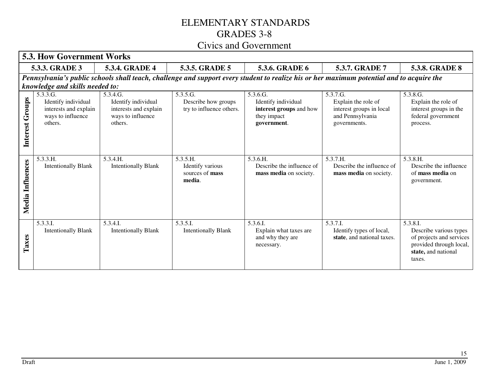|                  | <b>5.3. How Government Works</b>                                                                                                                                             |                                                                                          |                                                             |                                                                                          |                                                                                                 |                                                                                                                            |
|------------------|------------------------------------------------------------------------------------------------------------------------------------------------------------------------------|------------------------------------------------------------------------------------------|-------------------------------------------------------------|------------------------------------------------------------------------------------------|-------------------------------------------------------------------------------------------------|----------------------------------------------------------------------------------------------------------------------------|
|                  | 5.3.3. GRADE 3                                                                                                                                                               | 5.3.4. GRADE 4                                                                           | 5.3.5. GRADE 5                                              | 5.3.6. GRADE 6                                                                           | 5.3.7. GRADE 7                                                                                  | <b>5.3.8. GRADE 8</b>                                                                                                      |
|                  | Pennsylvania's public schools shall teach, challenge and support every student to realize his or her maximum potential and to acquire the<br>knowledge and skills needed to: |                                                                                          |                                                             |                                                                                          |                                                                                                 |                                                                                                                            |
| Interest Groups  | 5.3.3.G.<br>Identify individual<br>interests and explain<br>ways to influence<br>others.                                                                                     | 5.3.4.G.<br>Identify individual<br>interests and explain<br>ways to influence<br>others. | 5.3.5.G.<br>Describe how groups<br>try to influence others. | 5.3.6.G.<br>Identify individual<br>interest groups and how<br>they impact<br>government. | 5.3.7.G.<br>Explain the role of<br>interest groups in local<br>and Pennsylvania<br>governments. | 5.3.8.G.<br>Explain the role of<br>interest groups in the<br>federal government<br>process.                                |
| Media Influences | 5.3.3.H.<br><b>Intentionally Blank</b>                                                                                                                                       | 5.3.4.H.<br><b>Intentionally Blank</b>                                                   | 5.3.5.H.<br>Identify various<br>sources of mass<br>media.   | 5.3.6.H.<br>Describe the influence of<br>mass media on society.                          | 5.3.7.H.<br>Describe the influence of<br>mass media on society.                                 | 5.3.8.H.<br>Describe the influence<br>of <b>mass media</b> on<br>government.                                               |
| Taxes            | 5.3.3.I.<br><b>Intentionally Blank</b>                                                                                                                                       | 5.3.4.I.<br><b>Intentionally Blank</b>                                                   | 5.3.5.I.<br><b>Intentionally Blank</b>                      | 5.3.6.I.<br>Explain what taxes are<br>and why they are<br>necessary.                     | 5.3.7.I.<br>Identify types of local,<br>state, and national taxes.                              | 5.3.8.I.<br>Describe various types<br>of projects and services<br>provided through local,<br>state, and national<br>taxes. |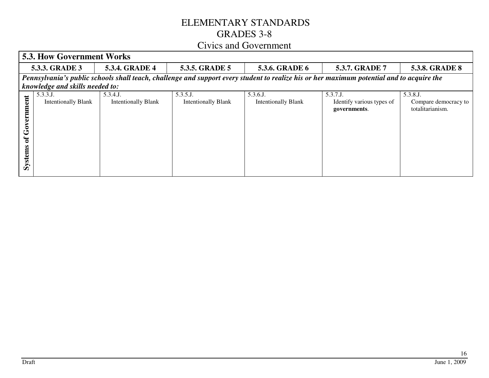| 5.3. How Government Works                  |                                                                                                                                           |                                       |                                           |                                       |                                                      |                                                      |  |
|--------------------------------------------|-------------------------------------------------------------------------------------------------------------------------------------------|---------------------------------------|-------------------------------------------|---------------------------------------|------------------------------------------------------|------------------------------------------------------|--|
| <b>5.3.4. GRADE 4</b><br>5.3.3. GRADE 3    |                                                                                                                                           |                                       | 5.3.5. GRADE 5                            | <b>5.3.6. GRADE 6</b>                 | 5.3.7. GRADE 7                                       | <b>5.3.8. GRADE 8</b>                                |  |
|                                            | Pennsylvania's public schools shall teach, challenge and support every student to realize his or her maximum potential and to acquire the |                                       |                                           |                                       |                                                      |                                                      |  |
|                                            | knowledge and skills needed to:                                                                                                           |                                       |                                           |                                       |                                                      |                                                      |  |
| nent<br>Governm<br>$\mathbf{f}$<br>Systems | 5.3.3.J.<br><b>Intentionally Blank</b>                                                                                                    | 5.3.4.J<br><b>Intentionally Blank</b> | $5.3.5.$ J.<br><b>Intentionally Blank</b> | 5.3.6.J<br><b>Intentionally Blank</b> | 5.3.7.J<br>Identify various types of<br>governments. | 5.3.8.J.<br>Compare democracy to<br>totalitarianism. |  |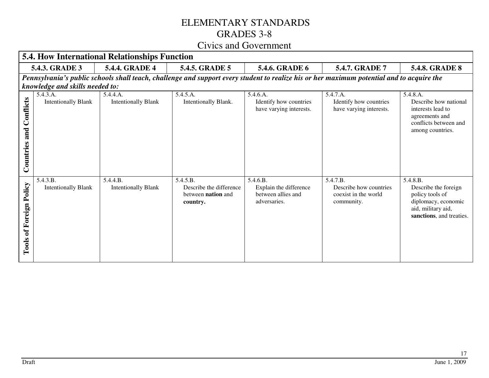| <b>5.4. How International Relationships Function</b> |                                                                                                                                           |                                        |                                                                              |                                                                          |                                                                          |                                                                                                                              |
|------------------------------------------------------|-------------------------------------------------------------------------------------------------------------------------------------------|----------------------------------------|------------------------------------------------------------------------------|--------------------------------------------------------------------------|--------------------------------------------------------------------------|------------------------------------------------------------------------------------------------------------------------------|
|                                                      | <b>5.4.3. GRADE 3</b>                                                                                                                     | <b>5.4.4. GRADE 4</b>                  | <b>5.4.5. GRADE 5</b>                                                        | 5.4.6. GRADE 6                                                           | 5.4.7. GRADE 7                                                           | <b>5.4.8. GRADE 8</b>                                                                                                        |
|                                                      | Pennsylvania's public schools shall teach, challenge and support every student to realize his or her maximum potential and to acquire the |                                        |                                                                              |                                                                          |                                                                          |                                                                                                                              |
|                                                      | knowledge and skills needed to:                                                                                                           |                                        |                                                                              |                                                                          |                                                                          |                                                                                                                              |
| Conflicts<br>and<br>Countries                        | 5.4.3.A.<br><b>Intentionally Blank</b>                                                                                                    | 5.4.4.A.<br><b>Intentionally Blank</b> | 5.4.5.A.<br>Intentionally Blank.                                             | 5.4.6.A.<br>Identify how countries<br>have varying interests.            | 5.4.7.A.<br>Identify how countries<br>have varying interests.            | 5.4.8.A.<br>Describe how national<br>interests lead to<br>agreements and<br>conflicts between and<br>among countries.        |
| Policy<br>Foreign<br>ð<br>Tools                      | 5.4.3.B.<br><b>Intentionally Blank</b>                                                                                                    | 5.4.4.B.<br><b>Intentionally Blank</b> | 5.4.5.B.<br>Describe the difference<br>between <b>nation</b> and<br>country. | 5.4.6.B.<br>Explain the difference<br>between allies and<br>adversaries. | 5.4.7.B.<br>Describe how countries<br>coexist in the world<br>community. | 5.4.8.B.<br>Describe the foreign<br>policy tools of<br>diplomacy, economic<br>aid, military aid,<br>sanctions, and treaties. |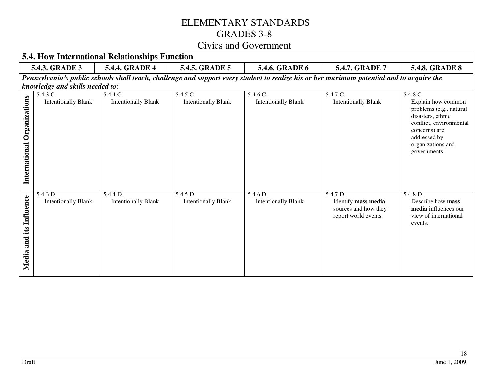|                                         | <b>5.4. How International Relationships Function</b>                                                                                                                         |                                        |                                        |                                        |                                                                                 |                                                                                                                                                                                 |  |
|-----------------------------------------|------------------------------------------------------------------------------------------------------------------------------------------------------------------------------|----------------------------------------|----------------------------------------|----------------------------------------|---------------------------------------------------------------------------------|---------------------------------------------------------------------------------------------------------------------------------------------------------------------------------|--|
|                                         | <b>5.4.3. GRADE 3</b>                                                                                                                                                        | <b>5.4.4. GRADE 4</b>                  | 5.4.5. GRADE 5                         | <b>5.4.6. GRADE 6</b>                  | <b>5.4.7. GRADE 7</b>                                                           | <b>5.4.8. GRADE 8</b>                                                                                                                                                           |  |
|                                         | Pennsylvania's public schools shall teach, challenge and support every student to realize his or her maximum potential and to acquire the<br>knowledge and skills needed to: |                                        |                                        |                                        |                                                                                 |                                                                                                                                                                                 |  |
| Organizations<br>International          | 5.4.3.C.<br><b>Intentionally Blank</b>                                                                                                                                       | 5.4.4.C.<br><b>Intentionally Blank</b> | 5.4.5.C.<br><b>Intentionally Blank</b> | 5.4.6.C.<br><b>Intentionally Blank</b> | 5.4.7.C.<br><b>Intentionally Blank</b>                                          | 5.4.8.C.<br>Explain how common<br>problems (e.g., natural<br>disasters, ethnic<br>conflict, environmental<br>concerns) are<br>addressed by<br>organizations and<br>governments. |  |
| <b>Influence</b><br>its<br>and<br>Media | 5.4.3.D.<br><b>Intentionally Blank</b>                                                                                                                                       | 5.4.4.D.<br><b>Intentionally Blank</b> | 5.4.5.D.<br><b>Intentionally Blank</b> | 5.4.6.D.<br><b>Intentionally Blank</b> | 5.4.7.D.<br>Identify mass media<br>sources and how they<br>report world events. | 5.4.8.D.<br>Describe how mass<br>media influences our<br>view of international<br>events.                                                                                       |  |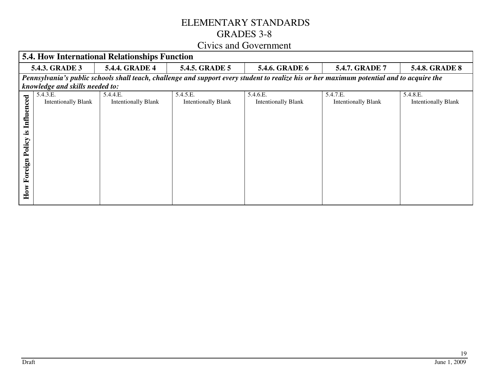|                                                     | <b>5.4. How International Relationships Function</b> |                                        |                                        |                                        |                                                                                                                                           |                                        |
|-----------------------------------------------------|------------------------------------------------------|----------------------------------------|----------------------------------------|----------------------------------------|-------------------------------------------------------------------------------------------------------------------------------------------|----------------------------------------|
|                                                     | <b>5.4.4. GRADE 4</b><br>5.4.3. GRADE 3              |                                        | 5.4.5. GRADE 5                         | <b>5.4.6. GRADE 6</b>                  | 5.4.7. GRADE 7                                                                                                                            | <b>5.4.8. GRADE 8</b>                  |
|                                                     | knowledge and skills needed to:                      |                                        |                                        |                                        | Pennsylvania's public schools shall teach, challenge and support every student to realize his or her maximum potential and to acquire the |                                        |
| <b>Influenced</b><br>≌.<br>Policy<br>Foreign<br>How | 5.4.3.E.<br><b>Intentionally Blank</b>               | 5.4.4.E.<br><b>Intentionally Blank</b> | 5.4.5.E.<br><b>Intentionally Blank</b> | 5.4.6.E.<br><b>Intentionally Blank</b> | 5.4.7.E.<br><b>Intentionally Blank</b>                                                                                                    | 5.4.8.E.<br><b>Intentionally Blank</b> |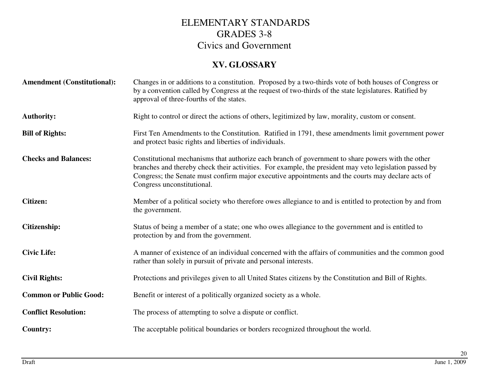#### **XV. GLOSSARY**

| <b>Amendment (Constitutional):</b> | Changes in or additions to a constitution. Proposed by a two-thirds vote of both houses of Congress or<br>by a convention called by Congress at the request of two-thirds of the state legislatures. Ratified by<br>approval of three-fourths of the states.                                                                                   |
|------------------------------------|------------------------------------------------------------------------------------------------------------------------------------------------------------------------------------------------------------------------------------------------------------------------------------------------------------------------------------------------|
| <b>Authority:</b>                  | Right to control or direct the actions of others, legitimized by law, morality, custom or consent.                                                                                                                                                                                                                                             |
| <b>Bill of Rights:</b>             | First Ten Amendments to the Constitution. Ratified in 1791, these amendments limit government power<br>and protect basic rights and liberties of individuals.                                                                                                                                                                                  |
| <b>Checks and Balances:</b>        | Constitutional mechanisms that authorize each branch of government to share powers with the other<br>branches and thereby check their activities. For example, the president may veto legislation passed by<br>Congress; the Senate must confirm major executive appointments and the courts may declare acts of<br>Congress unconstitutional. |
| <b>Citizen:</b>                    | Member of a political society who therefore owes allegiance to and is entitled to protection by and from<br>the government.                                                                                                                                                                                                                    |
| Citizenship:                       | Status of being a member of a state; one who owes allegiance to the government and is entitled to<br>protection by and from the government.                                                                                                                                                                                                    |
| <b>Civic Life:</b>                 | A manner of existence of an individual concerned with the affairs of communities and the common good<br>rather than solely in pursuit of private and personal interests.                                                                                                                                                                       |
| <b>Civil Rights:</b>               | Protections and privileges given to all United States citizens by the Constitution and Bill of Rights.                                                                                                                                                                                                                                         |
| <b>Common or Public Good:</b>      | Benefit or interest of a politically organized society as a whole.                                                                                                                                                                                                                                                                             |
| <b>Conflict Resolution:</b>        | The process of attempting to solve a dispute or conflict.                                                                                                                                                                                                                                                                                      |
| Country:                           | The acceptable political boundaries or borders recognized throughout the world.                                                                                                                                                                                                                                                                |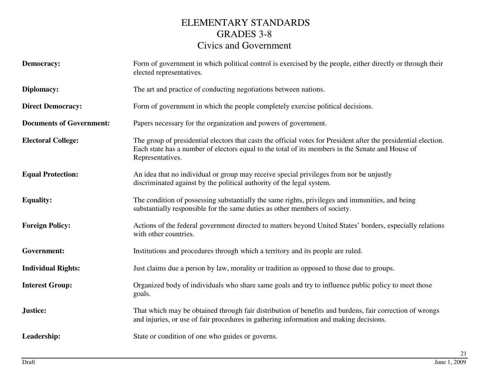| <b>Democracy:</b>               | Form of government in which political control is exercised by the people, either directly or through their<br>elected representatives.                                                                                                  |
|---------------------------------|-----------------------------------------------------------------------------------------------------------------------------------------------------------------------------------------------------------------------------------------|
| Diplomacy:                      | The art and practice of conducting negotiations between nations.                                                                                                                                                                        |
| <b>Direct Democracy:</b>        | Form of government in which the people completely exercise political decisions.                                                                                                                                                         |
| <b>Documents of Government:</b> | Papers necessary for the organization and powers of government.                                                                                                                                                                         |
| <b>Electoral College:</b>       | The group of presidential electors that casts the official votes for President after the presidential election.<br>Each state has a number of electors equal to the total of its members in the Senate and House of<br>Representatives. |
| <b>Equal Protection:</b>        | An idea that no individual or group may receive special privileges from nor be unjustly<br>discriminated against by the political authority of the legal system.                                                                        |
| <b>Equality:</b>                | The condition of possessing substantially the same rights, privileges and immunities, and being<br>substantially responsible for the same duties as other members of society.                                                           |
| <b>Foreign Policy:</b>          | Actions of the federal government directed to matters beyond United States' borders, especially relations<br>with other countries.                                                                                                      |
| Government:                     | Institutions and procedures through which a territory and its people are ruled.                                                                                                                                                         |
| <b>Individual Rights:</b>       | Just claims due a person by law, morality or tradition as opposed to those due to groups.                                                                                                                                               |
| <b>Interest Group:</b>          | Organized body of individuals who share same goals and try to influence public policy to meet those<br>goals.                                                                                                                           |
| Justice:                        | That which may be obtained through fair distribution of benefits and burdens, fair correction of wrongs<br>and injuries, or use of fair procedures in gathering information and making decisions.                                       |
| Leadership:                     | State or condition of one who guides or governs.                                                                                                                                                                                        |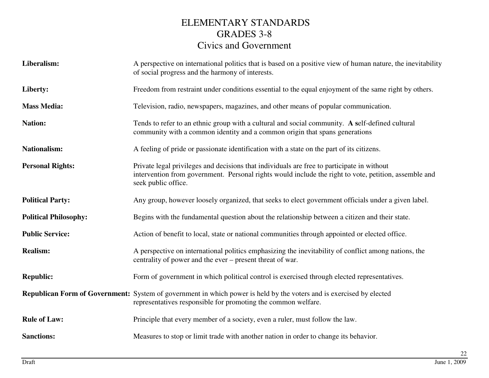| Liberalism:                  | A perspective on international politics that is based on a positive view of human nature, the inevitability<br>of social progress and the harmony of interests.                                                            |
|------------------------------|----------------------------------------------------------------------------------------------------------------------------------------------------------------------------------------------------------------------------|
| Liberty:                     | Freedom from restraint under conditions essential to the equal enjoyment of the same right by others.                                                                                                                      |
| <b>Mass Media:</b>           | Television, radio, newspapers, magazines, and other means of popular communication.                                                                                                                                        |
| <b>Nation:</b>               | Tends to refer to an ethnic group with a cultural and social community. A self-defined cultural<br>community with a common identity and a common origin that spans generations                                             |
| <b>Nationalism:</b>          | A feeling of pride or passionate identification with a state on the part of its citizens.                                                                                                                                  |
| <b>Personal Rights:</b>      | Private legal privileges and decisions that individuals are free to participate in without<br>intervention from government. Personal rights would include the right to vote, petition, assemble and<br>seek public office. |
| <b>Political Party:</b>      | Any group, however loosely organized, that seeks to elect government officials under a given label.                                                                                                                        |
| <b>Political Philosophy:</b> | Begins with the fundamental question about the relationship between a citizen and their state.                                                                                                                             |
| <b>Public Service:</b>       | Action of benefit to local, state or national communities through appointed or elected office.                                                                                                                             |
| <b>Realism:</b>              | A perspective on international politics emphasizing the inevitability of conflict among nations, the<br>centrality of power and the ever – present threat of war.                                                          |
| <b>Republic:</b>             | Form of government in which political control is exercised through elected representatives.                                                                                                                                |
|                              | <b>Republican Form of Government:</b> System of government in which power is held by the voters and is exercised by elected<br>representatives responsible for promoting the common welfare.                               |
| <b>Rule of Law:</b>          | Principle that every member of a society, even a ruler, must follow the law.                                                                                                                                               |
| <b>Sanctions:</b>            | Measures to stop or limit trade with another nation in order to change its behavior.                                                                                                                                       |